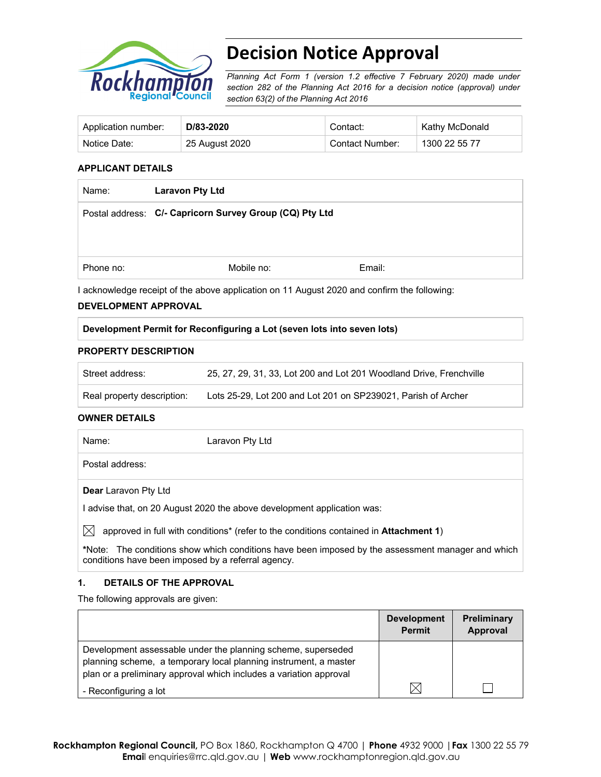

# **Decision Notice Approval**

*Planning Act Form 1 (version 1.2 effective 7 February 2020) made under section 282 of the Planning Act 2016 for a decision notice (approval) under section 63(2) of the Planning Act 2016*

| Application number: | D/83-2020      | Contact:        | Kathy McDonald |
|---------------------|----------------|-----------------|----------------|
| Notice Date:        | 25 August 2020 | Contact Number: | 1300 22 55 77  |

#### **APPLICANT DETAILS**

| Name:     | <b>Laravon Pty Ltd</b>                                  |        |
|-----------|---------------------------------------------------------|--------|
|           | Postal address: C/- Capricorn Survey Group (CQ) Pty Ltd |        |
|           |                                                         |        |
|           |                                                         |        |
| Phone no: | Mobile no:                                              | Email: |
|           |                                                         |        |

I acknowledge receipt of the above application on 11 August 2020 and confirm the following:

#### **DEVELOPMENT APPROVAL**

# **Development Permit for Reconfiguring a Lot (seven lots into seven lots)**

#### **PROPERTY DESCRIPTION**

| Street address:            | 25, 27, 29, 31, 33, Lot 200 and Lot 201 Woodland Drive, Frenchville |
|----------------------------|---------------------------------------------------------------------|
| Real property description: | Lots 25-29. Lot 200 and Lot 201 on SP239021. Parish of Archer       |

#### **OWNER DETAILS**

| Name:                       | Laravon Pty Ltd                                                         |
|-----------------------------|-------------------------------------------------------------------------|
| Postal address:             |                                                                         |
| <b>Dear</b> Laravon Pty Ltd |                                                                         |
|                             | I advise that, on 20 August 2020 the above development application was: |
|                             |                                                                         |

 $\bowtie$  approved in full with conditions<sup>\*</sup> (refer to the conditions contained in **Attachment 1**)

**\***Note:The conditions show which conditions have been imposed by the assessment manager and which conditions have been imposed by a referral agency.

# **1. DETAILS OF THE APPROVAL**

The following approvals are given:

|                                                                                                                                                                                                        | <b>Development</b><br><b>Permit</b> | <b>Preliminary</b><br>Approval |
|--------------------------------------------------------------------------------------------------------------------------------------------------------------------------------------------------------|-------------------------------------|--------------------------------|
| Development assessable under the planning scheme, superseded<br>planning scheme, a temporary local planning instrument, a master<br>plan or a preliminary approval which includes a variation approval |                                     |                                |
| - Reconfiguring a lot                                                                                                                                                                                  |                                     |                                |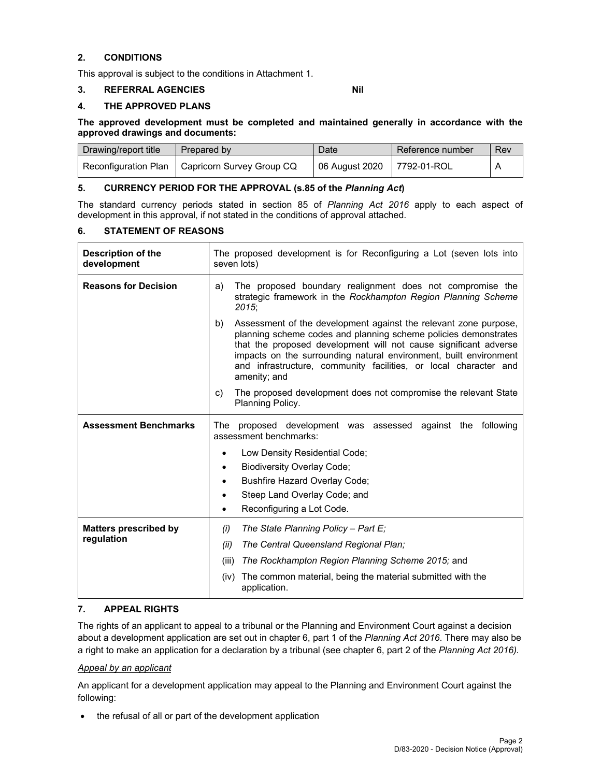# **2. CONDITIONS**

This approval is subject to the conditions in Attachment 1.

#### **3. REFERRAL AGENCIES Nil**

# **4. THE APPROVED PLANS**

**The approved development must be completed and maintained generally in accordance with the approved drawings and documents:** 

| Drawing/report title | Prepared by                                      | Date                       | Reference number | Rev |
|----------------------|--------------------------------------------------|----------------------------|------------------|-----|
|                      | Reconfiguration Plan   Capricorn Survey Group CQ | 06 August 2020 7792-01-ROL |                  |     |

# **5. CURRENCY PERIOD FOR THE APPROVAL (s.85 of the** *Planning Act***)**

The standard currency periods stated in section 85 of *Planning Act 2016* apply to each aspect of development in this approval, if not stated in the conditions of approval attached.

#### **6. STATEMENT OF REASONS**

| <b>Description of the</b><br>development   | The proposed development is for Reconfiguring a Lot (seven lots into<br>seven lots)                                                                                                                                                                                                                                                                              |  |  |
|--------------------------------------------|------------------------------------------------------------------------------------------------------------------------------------------------------------------------------------------------------------------------------------------------------------------------------------------------------------------------------------------------------------------|--|--|
| <b>Reasons for Decision</b>                | The proposed boundary realignment does not compromise the<br>a)<br>strategic framework in the Rockhampton Region Planning Scheme<br>$2015$ ;                                                                                                                                                                                                                     |  |  |
|                                            | Assessment of the development against the relevant zone purpose,<br>planning scheme codes and planning scheme policies demonstrates<br>that the proposed development will not cause significant adverse<br>impacts on the surrounding natural environment, built environment<br>and infrastructure, community facilities, or local character and<br>amenity; and |  |  |
|                                            | The proposed development does not compromise the relevant State<br>C)<br>Planning Policy.                                                                                                                                                                                                                                                                        |  |  |
| <b>Assessment Benchmarks</b>               | proposed development was assessed against the following<br>The<br>assessment benchmarks:                                                                                                                                                                                                                                                                         |  |  |
|                                            | Low Density Residential Code;<br><b>Biodiversity Overlay Code;</b><br>٠<br><b>Bushfire Hazard Overlay Code;</b><br>Steep Land Overlay Code; and<br>Reconfiguring a Lot Code.<br>٠                                                                                                                                                                                |  |  |
| <b>Matters prescribed by</b><br>regulation | The State Planning Policy - Part $E_i$<br>(i)<br>The Central Queensland Regional Plan;<br>(ii)                                                                                                                                                                                                                                                                   |  |  |
|                                            | The Rockhampton Region Planning Scheme 2015; and<br>(iii)<br>The common material, being the material submitted with the<br>(iv)<br>application.                                                                                                                                                                                                                  |  |  |

# **7. APPEAL RIGHTS**

The rights of an applicant to appeal to a tribunal or the Planning and Environment Court against a decision about a development application are set out in chapter 6, part 1 of the *Planning Act 2016*. There may also be a right to make an application for a declaration by a tribunal (see chapter 6, part 2 of the *Planning Act 2016).*

#### *Appeal by an applicant*

An applicant for a development application may appeal to the Planning and Environment Court against the following:

• the refusal of all or part of the development application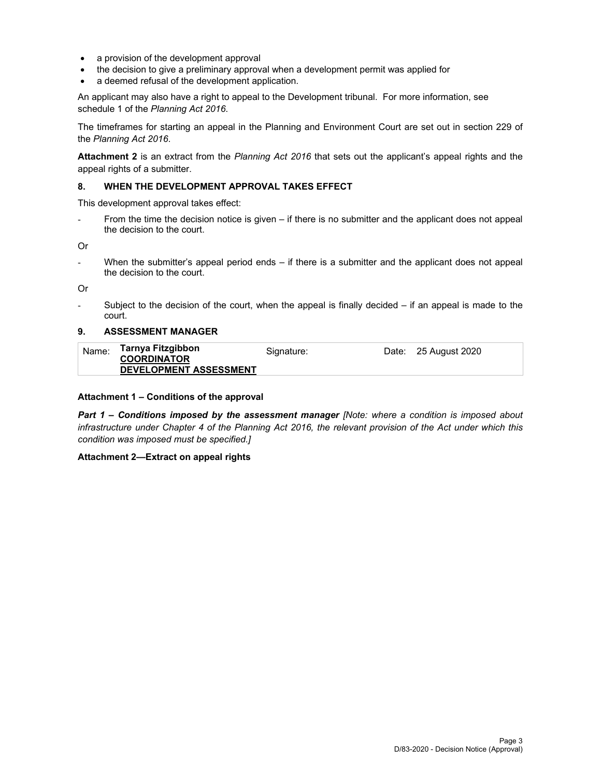- a provision of the development approval
- the decision to give a preliminary approval when a development permit was applied for
- a deemed refusal of the development application.

An applicant may also have a right to appeal to the Development tribunal. For more information, see schedule 1 of the *Planning Act 2016*.

The timeframes for starting an appeal in the Planning and Environment Court are set out in section 229 of the *Planning Act 2016*.

**Attachment 2** is an extract from the *Planning Act 2016* that sets out the applicant's appeal rights and the appeal rights of a submitter.

#### **8. WHEN THE DEVELOPMENT APPROVAL TAKES EFFECT**

This development approval takes effect:

From the time the decision notice is given  $-$  if there is no submitter and the applicant does not appeal the decision to the court.

Or

When the submitter's appeal period ends  $-$  if there is a submitter and the applicant does not appeal the decision to the court.

Or

Subject to the decision of the court, when the appeal is finally decided  $-$  if an appeal is made to the court.

#### **9. ASSESSMENT MANAGER**

| Name: | Tarnya Fitzgibbon<br><b>COORDINATOR</b> | Signature: | Date: 25 August 2020 |
|-------|-----------------------------------------|------------|----------------------|
|       | <b>DEVELOPMENT ASSESSMENT</b>           |            |                      |

#### **Attachment 1 – Conditions of the approval**

*Part 1* **–** *Conditions imposed by the assessment manager [Note: where a condition is imposed about infrastructure under Chapter 4 of the Planning Act 2016, the relevant provision of the Act under which this condition was imposed must be specified.]*

#### **Attachment 2—Extract on appeal rights**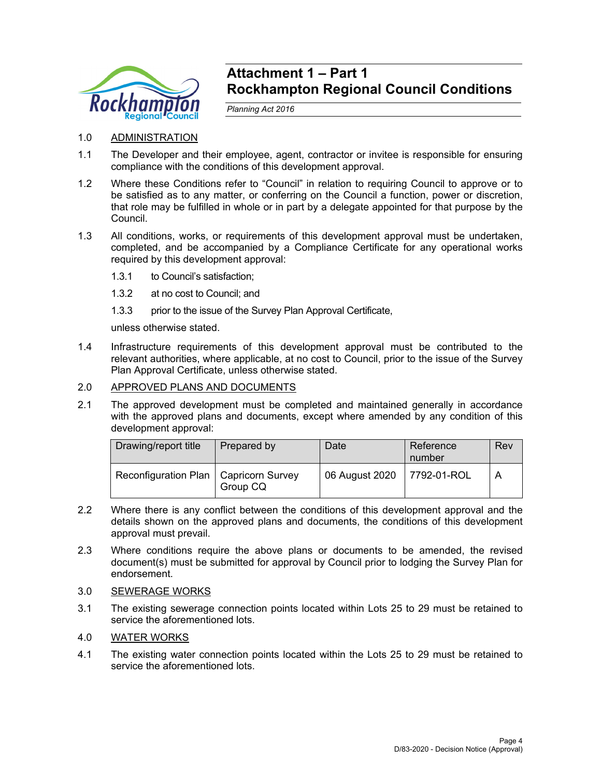

# **Attachment 1 – Part 1 Rockhampton Regional Council Conditions**

*Planning Act 2016* 

# 1.0 ADMINISTRATION

- 1.1 The Developer and their employee, agent, contractor or invitee is responsible for ensuring compliance with the conditions of this development approval.
- 1.2 Where these Conditions refer to "Council" in relation to requiring Council to approve or to be satisfied as to any matter, or conferring on the Council a function, power or discretion, that role may be fulfilled in whole or in part by a delegate appointed for that purpose by the Council.
- 1.3 All conditions, works, or requirements of this development approval must be undertaken, completed, and be accompanied by a Compliance Certificate for any operational works required by this development approval:
	- 1.3.1 to Council's satisfaction;
	- 1.3.2 at no cost to Council; and
	- 1.3.3 prior to the issue of the Survey Plan Approval Certificate,

unless otherwise stated.

1.4 Infrastructure requirements of this development approval must be contributed to the relevant authorities, where applicable, at no cost to Council, prior to the issue of the Survey Plan Approval Certificate, unless otherwise stated.

# 2.0 APPROVED PLANS AND DOCUMENTS

2.1 The approved development must be completed and maintained generally in accordance with the approved plans and documents, except where amended by any condition of this development approval:

| Drawing/report title                    | Prepared by | Date           | Reference<br>number | Rev |
|-----------------------------------------|-------------|----------------|---------------------|-----|
| Reconfiguration Plan   Capricorn Survey | Group CQ    | 06 August 2020 | 7792-01-ROL         |     |

- 2.2 Where there is any conflict between the conditions of this development approval and the details shown on the approved plans and documents, the conditions of this development approval must prevail.
- 2.3 Where conditions require the above plans or documents to be amended, the revised document(s) must be submitted for approval by Council prior to lodging the Survey Plan for endorsement.
- 3.0 SEWERAGE WORKS
- 3.1 The existing sewerage connection points located within Lots 25 to 29 must be retained to service the aforementioned lots.

# 4.0 WATER WORKS

4.1 The existing water connection points located within the Lots 25 to 29 must be retained to service the aforementioned lots.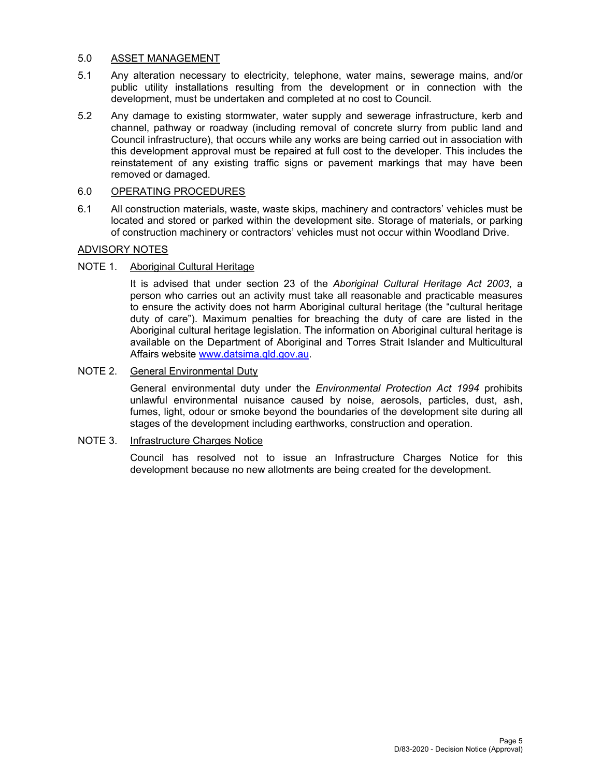# 5.0 ASSET MANAGEMENT

- 5.1 Any alteration necessary to electricity, telephone, water mains, sewerage mains, and/or public utility installations resulting from the development or in connection with the development, must be undertaken and completed at no cost to Council.
- 5.2 Any damage to existing stormwater, water supply and sewerage infrastructure, kerb and channel, pathway or roadway (including removal of concrete slurry from public land and Council infrastructure), that occurs while any works are being carried out in association with this development approval must be repaired at full cost to the developer. This includes the reinstatement of any existing traffic signs or pavement markings that may have been removed or damaged.

# 6.0 OPERATING PROCEDURES

6.1 All construction materials, waste, waste skips, machinery and contractors' vehicles must be located and stored or parked within the development site. Storage of materials, or parking of construction machinery or contractors' vehicles must not occur within Woodland Drive.

# ADVISORY NOTES

# NOTE 1. Aboriginal Cultural Heritage

It is advised that under section 23 of the *Aboriginal Cultural Heritage Act 2003*, a person who carries out an activity must take all reasonable and practicable measures to ensure the activity does not harm Aboriginal cultural heritage (the "cultural heritage duty of care"). Maximum penalties for breaching the duty of care are listed in the Aboriginal cultural heritage legislation. The information on Aboriginal cultural heritage is available on the Department of Aboriginal and Torres Strait Islander and Multicultural Affairs website www.datsima.qld.gov.au.

# NOTE 2. General Environmental Duty

General environmental duty under the *Environmental Protection Act 1994* prohibits unlawful environmental nuisance caused by noise, aerosols, particles, dust, ash, fumes, light, odour or smoke beyond the boundaries of the development site during all stages of the development including earthworks, construction and operation.

# NOTE 3. Infrastructure Charges Notice

Council has resolved not to issue an Infrastructure Charges Notice for this development because no new allotments are being created for the development.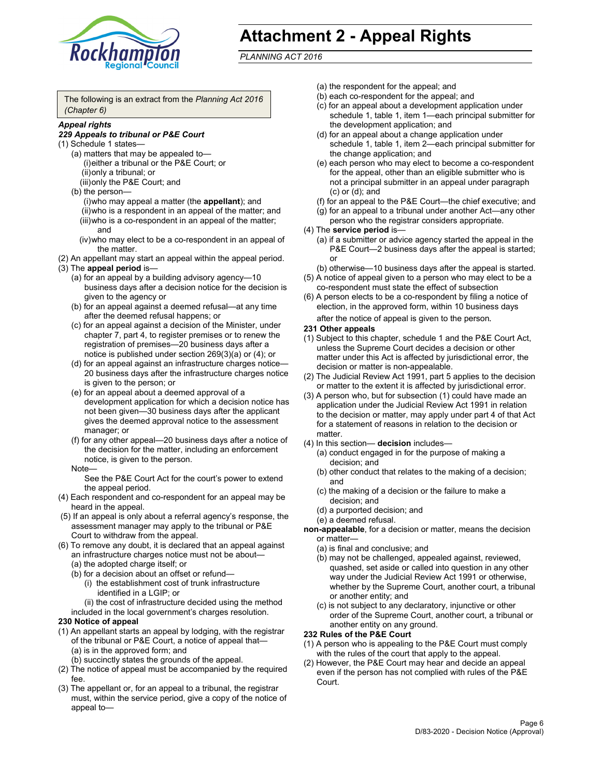

# **Attachment 2 - Appeal Rights**

*PLANNING ACT 2016*

The following is an extract from the *Planning Act 2016 (Chapter 6)*

# *Appeal rights*

#### *229 Appeals to tribunal or P&E Court*

- (1) Schedule 1 states—
	- (a) matters that may be appealed to— (i) either a tribunal or the P&E Court; or (ii) only a tribunal; or (iii) only the P&E Court; and
	- (b) the person—
		- (i) who may appeal a matter (the **appellant**); and
		- (ii) who is a respondent in an appeal of the matter; and (iii) who is a co-respondent in an appeal of the matter; and
		- (iv) who may elect to be a co-respondent in an appeal of the matter.
- (2) An appellant may start an appeal within the appeal period.
- (3) The **appeal period** is—
	- (a) for an appeal by a building advisory agency—10 business days after a decision notice for the decision is given to the agency or
	- (b) for an appeal against a deemed refusal—at any time after the deemed refusal happens; or
	- (c) for an appeal against a decision of the Minister, under chapter 7, part 4, to register premises or to renew the registration of premises—20 business days after a notice is published under section 269(3)(a) or (4); or
	- (d) for an appeal against an infrastructure charges notice— 20 business days after the infrastructure charges notice is given to the person; or
	- (e) for an appeal about a deemed approval of a development application for which a decision notice has not been given—30 business days after the applicant gives the deemed approval notice to the assessment manager; or
	- (f) for any other appeal—20 business days after a notice of the decision for the matter, including an enforcement notice, is given to the person.

#### Note—

See the P&E Court Act for the court's power to extend the appeal period.

- (4) Each respondent and co-respondent for an appeal may be heard in the appeal.
- (5) If an appeal is only about a referral agency's response, the assessment manager may apply to the tribunal or P&E Court to withdraw from the appeal.
- (6) To remove any doubt, it is declared that an appeal against an infrastructure charges notice must not be about— (a) the adopted charge itself; or
	- (b) for a decision about an offset or refund—
		- (i) the establishment cost of trunk infrastructure identified in a LGIP; or
		- (ii) the cost of infrastructure decided using the method
	- included in the local government's charges resolution.

# **230 Notice of appeal**

- (1) An appellant starts an appeal by lodging, with the registrar of the tribunal or P&E Court, a notice of appeal that— (a) is in the approved form; and
	- (b) succinctly states the grounds of the appeal.
- (2) The notice of appeal must be accompanied by the required fee.
- (3) The appellant or, for an appeal to a tribunal, the registrar must, within the service period, give a copy of the notice of appeal to—
- (a) the respondent for the appeal; and
- (b) each co-respondent for the appeal; and
- (c) for an appeal about a development application under schedule 1, table 1, item 1—each principal submitter for the development application; and
- (d) for an appeal about a change application under schedule 1, table 1, item 2—each principal submitter for the change application; and
- (e) each person who may elect to become a co-respondent for the appeal, other than an eligible submitter who is not a principal submitter in an appeal under paragraph (c) or (d); and
- (f) for an appeal to the P&E Court—the chief executive; and
- (g) for an appeal to a tribunal under another Act—any other person who the registrar considers appropriate.
- (4) The **service period** is—
	- (a) if a submitter or advice agency started the appeal in the P&E Court-2 business days after the appeal is started; or
	- (b) otherwise—10 business days after the appeal is started.
- (5) A notice of appeal given to a person who may elect to be a co-respondent must state the effect of subsection
- (6) A person elects to be a co-respondent by filing a notice of election, in the approved form, within 10 business days
	- after the notice of appeal is given to the person*.*
- **231 Other appeals**
- (1) Subject to this chapter, schedule 1 and the P&E Court Act, unless the Supreme Court decides a decision or other matter under this Act is affected by jurisdictional error, the decision or matter is non-appealable.
- (2) The Judicial Review Act 1991, part 5 applies to the decision or matter to the extent it is affected by jurisdictional error.
- (3) A person who, but for subsection (1) could have made an application under the Judicial Review Act 1991 in relation to the decision or matter, may apply under part 4 of that Act for a statement of reasons in relation to the decision or matter.
- (4) In this section— **decision** includes—
	- (a) conduct engaged in for the purpose of making a decision; and
	- (b) other conduct that relates to the making of a decision; and
	- (c) the making of a decision or the failure to make a decision; and
	- (d) a purported decision; and
	- (e) a deemed refusal.

**non-appealable**, for a decision or matter, means the decision or matter—

- (a) is final and conclusive; and
- (b) may not be challenged, appealed against, reviewed, quashed, set aside or called into question in any other way under the Judicial Review Act 1991 or otherwise, whether by the Supreme Court, another court, a tribunal or another entity; and
- (c) is not subject to any declaratory, injunctive or other order of the Supreme Court, another court, a tribunal or another entity on any ground.

#### **232 Rules of the P&E Court**

- (1) A person who is appealing to the P&E Court must comply with the rules of the court that apply to the appeal.
- (2) However, the P&E Court may hear and decide an appeal even if the person has not complied with rules of the P&E Court.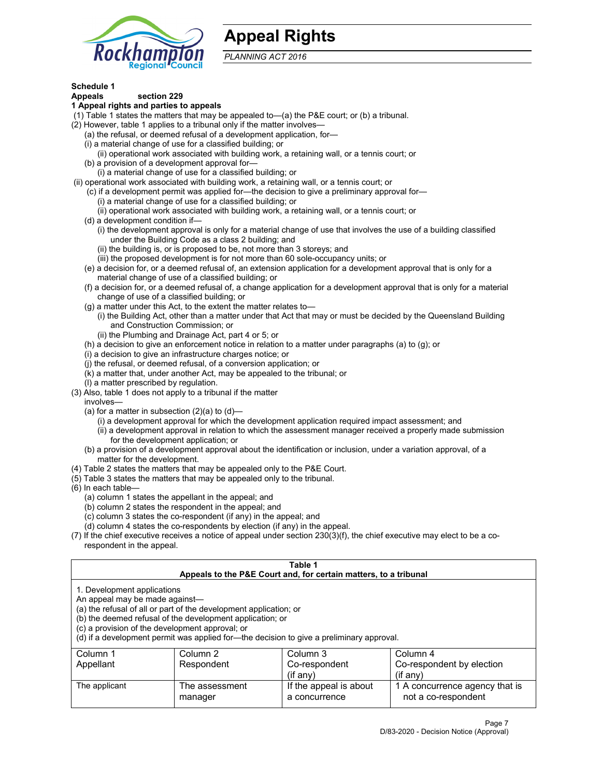

# **Appeal Rights**

*PLANNING ACT 2016*

# **Schedule 1**

# **Appeals section 229**

- **1 Appeal rights and parties to appeals**
- (1) Table 1 states the matters that may be appealed to—(a) the P&E court; or (b) a tribunal.
- (2) However, table 1 applies to a tribunal only if the matter involves—
	- (a) the refusal, or deemed refusal of a development application, for—
	- (i) a material change of use for a classified building; or
	- (ii) operational work associated with building work, a retaining wall, or a tennis court; or
	- (b) a provision of a development approval for—
	- (i) a material change of use for a classified building; or
- (ii) operational work associated with building work, a retaining wall, or a tennis court; or
	- (c) if a development permit was applied for—the decision to give a preliminary approval for—
		- (i) a material change of use for a classified building; or
	- (ii) operational work associated with building work, a retaining wall, or a tennis court; or
	- (d) a development condition if—
		- (i) the development approval is only for a material change of use that involves the use of a building classified under the Building Code as a class 2 building; and
		- (ii) the building is, or is proposed to be, not more than 3 storeys; and
		- (iii) the proposed development is for not more than 60 sole-occupancy units; or
	- (e) a decision for, or a deemed refusal of, an extension application for a development approval that is only for a material change of use of a classified building; or
	- (f) a decision for, or a deemed refusal of, a change application for a development approval that is only for a material change of use of a classified building; or
	- (g) a matter under this Act, to the extent the matter relates to—
		- (i) the Building Act, other than a matter under that Act that may or must be decided by the Queensland Building and Construction Commission; or
		- (ii) the Plumbing and Drainage Act, part 4 or 5; or
	- (h) a decision to give an enforcement notice in relation to a matter under paragraphs (a) to (g); or
	- (i) a decision to give an infrastructure charges notice; or
	- (j) the refusal, or deemed refusal, of a conversion application; or
	- (k) a matter that, under another Act, may be appealed to the tribunal; or
	- (l) a matter prescribed by regulation.
- (3) Also, table 1 does not apply to a tribunal if the matter
	- involves—
		- (a) for a matter in subsection  $(2)(a)$  to  $(d)$ 
			- (i) a development approval for which the development application required impact assessment; and
			- (ii) a development approval in relation to which the assessment manager received a properly made submission for the development application; or
	- (b) a provision of a development approval about the identification or inclusion, under a variation approval, of a matter for the development.
- (4) Table 2 states the matters that may be appealed only to the P&E Court.
- (5) Table 3 states the matters that may be appealed only to the tribunal.
- (6) In each table—
	- (a) column 1 states the appellant in the appeal; and
	- (b) column 2 states the respondent in the appeal; and
	- (c) column 3 states the co-respondent (if any) in the appeal; and
	- (d) column 4 states the co-respondents by election (if any) in the appeal.
- (7) If the chief executive receives a notice of appeal under section 230(3)(f), the chief executive may elect to be a corespondent in the appeal.

| Table 1<br>Appeals to the P&E Court and, for certain matters, to a tribunal                                      |                                                                                                                                |                                                                                          |                                                       |  |  |  |
|------------------------------------------------------------------------------------------------------------------|--------------------------------------------------------------------------------------------------------------------------------|------------------------------------------------------------------------------------------|-------------------------------------------------------|--|--|--|
| 1. Development applications<br>An appeal may be made against-<br>(c) a provision of the development approval; or | (a) the refusal of all or part of the development application; or<br>(b) the deemed refusal of the development application; or | (d) if a development permit was applied for—the decision to give a preliminary approval. |                                                       |  |  |  |
| Column 1                                                                                                         | Column 2<br>Column 3<br>Column 4                                                                                               |                                                                                          |                                                       |  |  |  |
| Appellant                                                                                                        | Respondent                                                                                                                     | Co-respondent<br>$(f \text{ any})$                                                       | Co-respondent by election<br>$(if$ any)               |  |  |  |
| The applicant                                                                                                    | The assessment<br>manager                                                                                                      | If the appeal is about<br>a concurrence                                                  | 1 A concurrence agency that is<br>not a co-respondent |  |  |  |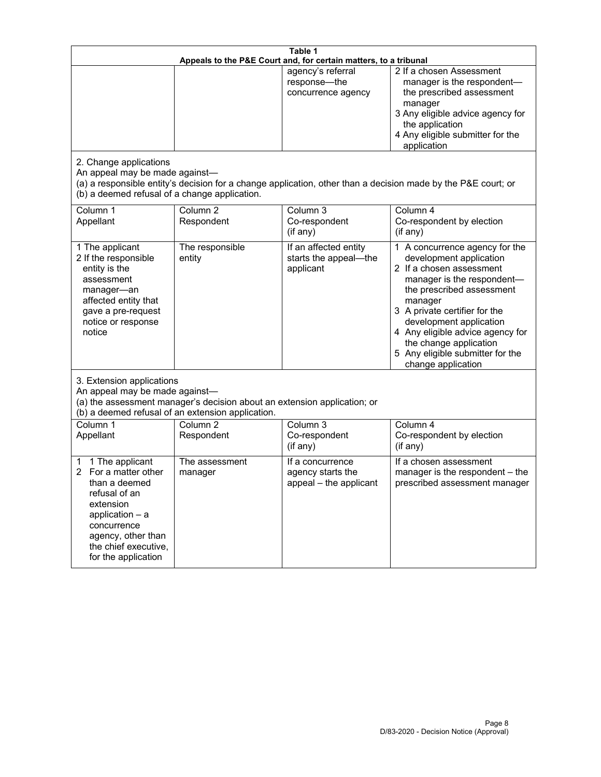| Table 1<br>Appeals to the P&E Court and, for certain matters, to a tribunal                                                                                                                             |                                                                                                                               |                                                                 |                                                                                                                                                                                                                                                                                                                                                 |  |
|---------------------------------------------------------------------------------------------------------------------------------------------------------------------------------------------------------|-------------------------------------------------------------------------------------------------------------------------------|-----------------------------------------------------------------|-------------------------------------------------------------------------------------------------------------------------------------------------------------------------------------------------------------------------------------------------------------------------------------------------------------------------------------------------|--|
| 2. Change applications<br>An appeal may be made against-<br>(b) a deemed refusal of a change application.                                                                                               |                                                                                                                               | agency's referral<br>response-the<br>concurrence agency         | 2 If a chosen Assessment<br>manager is the respondent-<br>the prescribed assessment<br>manager<br>3 Any eligible advice agency for<br>the application<br>4 Any eligible submitter for the<br>application<br>(a) a responsible entity's decision for a change application, other than a decision made by the P&E court; or                       |  |
| Column 1<br>Appellant                                                                                                                                                                                   | Column <sub>2</sub><br>Respondent                                                                                             | Column 3<br>Co-respondent<br>(if any)                           | Column 4<br>Co-respondent by election<br>(if any)                                                                                                                                                                                                                                                                                               |  |
| 1 The applicant<br>2 If the responsible<br>entity is the<br>assessment<br>manager-an<br>affected entity that<br>gave a pre-request<br>notice or response<br>notice                                      | The responsible<br>entity                                                                                                     | If an affected entity<br>starts the appeal-the<br>applicant     | 1 A concurrence agency for the<br>development application<br>2 If a chosen assessment<br>manager is the respondent-<br>the prescribed assessment<br>manager<br>3 A private certifier for the<br>development application<br>4 Any eligible advice agency for<br>the change application<br>5 Any eligible submitter for the<br>change application |  |
| 3. Extension applications<br>An appeal may be made against-                                                                                                                                             | (a) the assessment manager's decision about an extension application; or<br>(b) a deemed refusal of an extension application. |                                                                 |                                                                                                                                                                                                                                                                                                                                                 |  |
| Column 1<br>Appellant                                                                                                                                                                                   | Column <sub>2</sub><br>Respondent                                                                                             | Column 3<br>Co-respondent<br>(if any)                           | Column 4<br>Co-respondent by election<br>(if any)                                                                                                                                                                                                                                                                                               |  |
| 1 The applicant<br>1<br>For a matter other<br>2<br>than a deemed<br>refusal of an<br>extension<br>application $-$ a<br>concurrence<br>agency, other than<br>the chief executive,<br>for the application | The assessment<br>manager                                                                                                     | If a concurrence<br>agency starts the<br>appeal - the applicant | If a chosen assessment<br>manager is the respondent - the<br>prescribed assessment manager                                                                                                                                                                                                                                                      |  |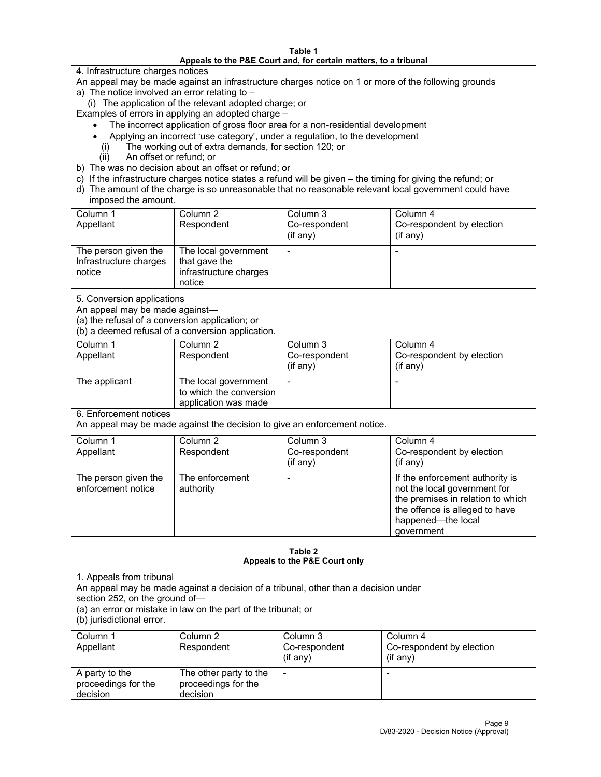#### **Table 1 Appeals to the P&E Court and, for certain matters, to a tribunal**

4. Infrastructure charges notices

An appeal may be made against an infrastructure charges notice on 1 or more of the following grounds

- a) The notice involved an error relating to
	- (i) The application of the relevant adopted charge; or

Examples of errors in applying an adopted charge –

- The incorrect application of gross floor area for a non-residential development
- Applying an incorrect 'use category', under a regulation, to the development
- (i) The working out of extra demands, for section 120; or
- (ii) An offset or refund; or
- b) The was no decision about an offset or refund; or
- c) If the infrastructure charges notice states a refund will be given the timing for giving the refund; or
- d) The amount of the charge is so unreasonable that no reasonable relevant local government could have imposed the amount.

| Column 1<br>Appellant                                    | Column 2<br>Respondent                                                    | Column 3<br>Co-respondent<br>(i f any) | Column 4<br>Co-respondent by election<br>(i f any) |
|----------------------------------------------------------|---------------------------------------------------------------------------|----------------------------------------|----------------------------------------------------|
| The person given the<br>Infrastructure charges<br>notice | The local government<br>that gave the<br>infrastructure charges<br>notice |                                        |                                                    |

5. Conversion applications

An appeal may be made against—

(a) the refusal of a conversion application; or

(b) a deemed refusal of a conversion application.

| Column 1      | Column 2                | Column 3      | Column 4                  |
|---------------|-------------------------|---------------|---------------------------|
| Appellant     | Respondent              | Co-respondent | Co-respondent by election |
|               |                         | $(if$ any)    | (i f any)                 |
| The applicant | The local government    |               |                           |
|               | to which the conversion |               |                           |
|               | application was made    |               |                           |

6. Enforcement notices

An appeal may be made against the decision to give an enforcement notice.

| Column 1<br>Appellant                      | Column 2<br>Respondent       | Column 3<br>Co-respondent<br>$($ if any $)$ | Column 4<br>Co-respondent by election<br>$($ if any $)$                                                                                                                    |
|--------------------------------------------|------------------------------|---------------------------------------------|----------------------------------------------------------------------------------------------------------------------------------------------------------------------------|
| The person given the<br>enforcement notice | The enforcement<br>authority |                                             | If the enforcement authority is<br>not the local government for<br>the premises in relation to which<br>the offence is alleged to have<br>happened-the local<br>government |

#### **Table 2 Appeals to the P&E Court only**

1. Appeals from tribunal

An appeal may be made against a decision of a tribunal, other than a decision under

section 252, on the ground of—

(a) an error or mistake in law on the part of the tribunal; or

(b) jurisdictional error.

| Column 1<br>Appellant                             | Column 2<br>Respondent                                    | Column 3<br>Co-respondent<br>$(if$ any) | Column 4<br>Co-respondent by election<br>$(if$ any) |
|---------------------------------------------------|-----------------------------------------------------------|-----------------------------------------|-----------------------------------------------------|
| A party to the<br>proceedings for the<br>decision | The other party to the<br>proceedings for the<br>decision | $\overline{\phantom{a}}$                |                                                     |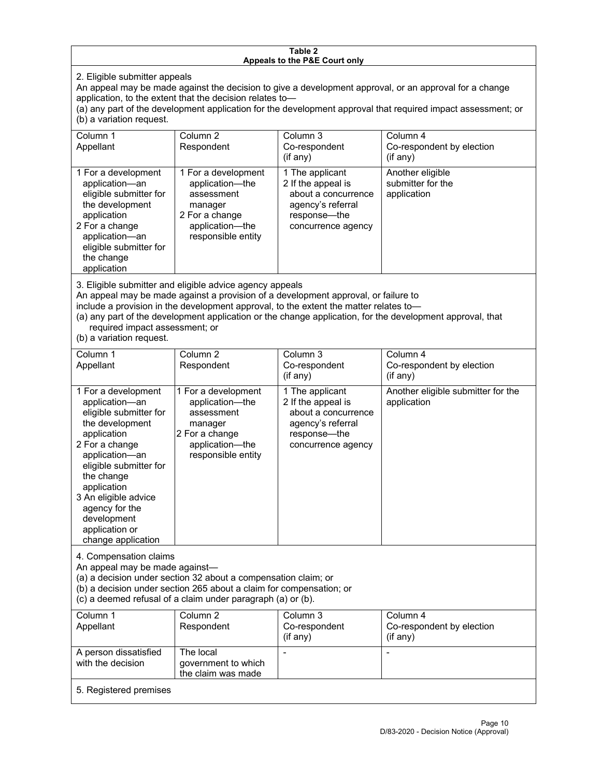#### **Table 2 Appeals to the P&E Court only**

2. Eligible submitter appeals

An appeal may be made against the decision to give a development approval, or an approval for a change application, to the extent that the decision relates to—

(a) any part of the development application for the development approval that required impact assessment; or (b) a variation request.

| Column 1<br>Appellant                                                                                                                                                                        | Column 2<br>Respondent                                                                                                     | Column 3<br>Co-respondent<br>$($ if any $)$                                                                             | Column 4<br>Co-respondent by election<br>(i f any)   |
|----------------------------------------------------------------------------------------------------------------------------------------------------------------------------------------------|----------------------------------------------------------------------------------------------------------------------------|-------------------------------------------------------------------------------------------------------------------------|------------------------------------------------------|
| 1 For a development<br>application-an<br>eligible submitter for<br>the development<br>application<br>2 For a change<br>application-an<br>eligible submitter for<br>the change<br>application | 1 For a development<br>application-the<br>assessment<br>manager<br>2 For a change<br>application-the<br>responsible entity | 1 The applicant<br>2 If the appeal is<br>about a concurrence<br>agency's referral<br>response—the<br>concurrence agency | Another eligible<br>submitter for the<br>application |

3. Eligible submitter and eligible advice agency appeals

An appeal may be made against a provision of a development approval, or failure to

include a provision in the development approval, to the extent the matter relates to—

(a) any part of the development application or the change application, for the development approval, that required impact assessment; or

(b) a variation request.

| Column 1<br>Appellant                                                                                                                                                                                                                                                                         | Column <sub>2</sub><br>Respondent                                                                                          | Column 3<br>Co-respondent<br>(if any)                                                                                   | Column 4<br>Co-respondent by election<br>(if any) |
|-----------------------------------------------------------------------------------------------------------------------------------------------------------------------------------------------------------------------------------------------------------------------------------------------|----------------------------------------------------------------------------------------------------------------------------|-------------------------------------------------------------------------------------------------------------------------|---------------------------------------------------|
| 1 For a development<br>application-an<br>eligible submitter for<br>the development<br>application<br>2 For a change<br>application-an<br>eligible submitter for<br>the change<br>application<br>3 An eligible advice<br>agency for the<br>development<br>application or<br>change application | 1 For a development<br>application-the<br>assessment<br>manager<br>2 For a change<br>application-the<br>responsible entity | 1 The applicant<br>2 If the appeal is<br>about a concurrence<br>agency's referral<br>response—the<br>concurrence agency | Another eligible submitter for the<br>application |
| 4. Compensation claims<br>An appeal may be made against-<br>(a) a decision under section 32 about a compensation claim; or<br>(b) a decision under section 265 about a claim for compensation; or<br>(c) a deemed refusal of a claim under paragraph (a) or (b).                              |                                                                                                                            |                                                                                                                         |                                                   |
| Column 1<br>Appellant                                                                                                                                                                                                                                                                         | Column <sub>2</sub><br>Respondent                                                                                          | Column 3<br>Co-respondent<br>(if any)                                                                                   | Column 4<br>Co-respondent by election<br>(if any) |
| A person dissatisfied<br>with the decision                                                                                                                                                                                                                                                    | The local<br>government to which<br>the claim was made                                                                     | $\overline{a}$                                                                                                          | $\overline{\phantom{a}}$                          |
| 5. Registered premises                                                                                                                                                                                                                                                                        |                                                                                                                            |                                                                                                                         |                                                   |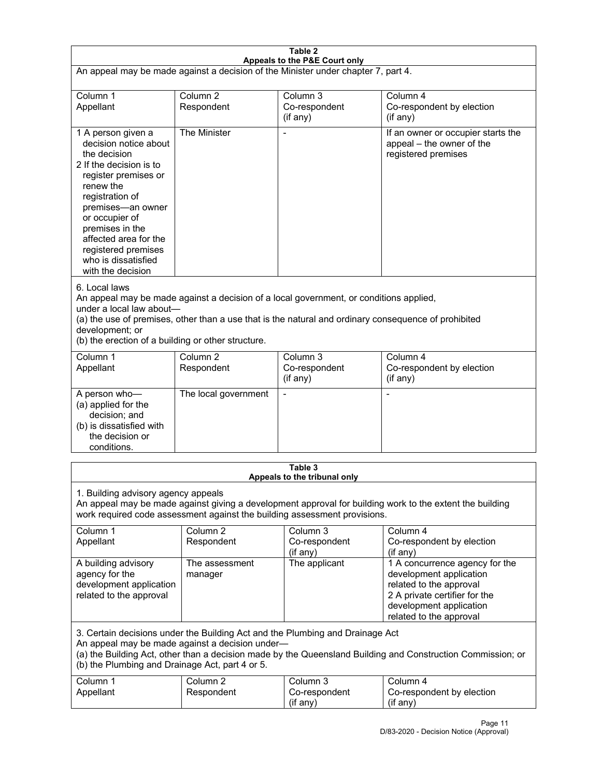| Table 2<br>Appeals to the P&E Court only                                                                                                                                                                                                                                                                             |                                   |                                                  |                                                                                                                                                                             |  |
|----------------------------------------------------------------------------------------------------------------------------------------------------------------------------------------------------------------------------------------------------------------------------------------------------------------------|-----------------------------------|--------------------------------------------------|-----------------------------------------------------------------------------------------------------------------------------------------------------------------------------|--|
| An appeal may be made against a decision of the Minister under chapter 7, part 4.                                                                                                                                                                                                                                    |                                   |                                                  |                                                                                                                                                                             |  |
| Column 1<br>Appellant                                                                                                                                                                                                                                                                                                | Column <sub>2</sub><br>Respondent | Column <sub>3</sub><br>Co-respondent<br>(if any) | Column 4<br>Co-respondent by election<br>(if any)                                                                                                                           |  |
| 1 A person given a<br>decision notice about<br>the decision<br>2 If the decision is to<br>register premises or<br>renew the<br>registration of<br>premises-an owner<br>or occupier of<br>premises in the<br>affected area for the<br>registered premises<br>who is dissatisfied<br>with the decision                 | The Minister                      | Ĭ.                                               | If an owner or occupier starts the<br>appeal - the owner of the<br>registered premises                                                                                      |  |
| 6. Local laws<br>An appeal may be made against a decision of a local government, or conditions applied,<br>under a local law about-<br>(a) the use of premises, other than a use that is the natural and ordinary consequence of prohibited<br>development; or<br>(b) the erection of a building or other structure. |                                   |                                                  |                                                                                                                                                                             |  |
| Column 1<br>Appellant                                                                                                                                                                                                                                                                                                | Column <sub>2</sub><br>Respondent | Column <sub>3</sub><br>Co-respondent<br>(if any) | Column 4<br>Co-respondent by election<br>(if any)                                                                                                                           |  |
| A person who-<br>(a) applied for the<br>decision; and<br>(b) is dissatisfied with<br>the decision or<br>conditions.                                                                                                                                                                                                  | The local government              | L,                                               | $\overline{a}$                                                                                                                                                              |  |
|                                                                                                                                                                                                                                                                                                                      |                                   | Table 3<br>Appeals to the tribunal only          |                                                                                                                                                                             |  |
| 1. Building advisory agency appeals<br>An appeal may be made against giving a development approval for building work to the extent the building<br>work required code assessment against the building assessment provisions.                                                                                         |                                   |                                                  |                                                                                                                                                                             |  |
| Column 1<br>Appellant                                                                                                                                                                                                                                                                                                | Column <sub>2</sub><br>Respondent | Column 3<br>Co-respondent<br>(if any)            | Column 4<br>Co-respondent by election<br>(if any)                                                                                                                           |  |
| A building advisory<br>agency for the<br>development application<br>related to the approval                                                                                                                                                                                                                          | The assessment<br>manager         | The applicant                                    | 1 A concurrence agency for the<br>development application<br>related to the approval<br>2 A private certifier for the<br>development application<br>related to the approval |  |
| 3. Certain decisions under the Building Act and the Plumbing and Drainage Act<br>An appeal may be made against a decision under-<br>(a) the Building Act, other than a decision made by the Queensland Building and Construction Commission; or<br>(b) the Plumbing and Drainage Act, part 4 or 5.                   |                                   |                                                  |                                                                                                                                                                             |  |
| Column 1<br>Appellant                                                                                                                                                                                                                                                                                                | Column <sub>2</sub><br>Respondent | Column 3<br>Co-respondent<br>(if any)            | Column 4<br>Co-respondent by election<br>(if any)                                                                                                                           |  |